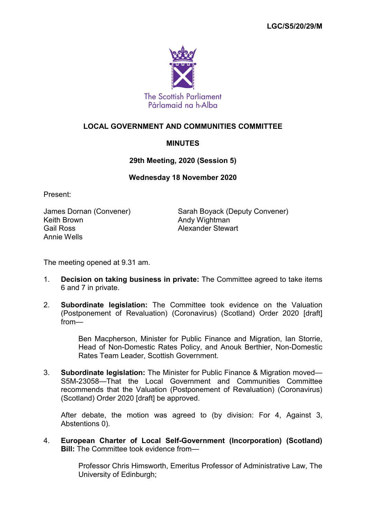

# **LOCAL GOVERNMENT AND COMMUNITIES COMMITTEE**

# **MINUTES**

### **29th Meeting, 2020 (Session 5)**

### **Wednesday 18 November 2020**

Present:

Keith Brown **Andy Wightman** Gail Ross **Alexander Stewart** Annie Wells

James Dornan (Convener) Sarah Boyack (Deputy Convener)

The meeting opened at 9.31 am.

- 1. **Decision on taking business in private:** The Committee agreed to take items 6 and 7 in private.
- 2. **Subordinate legislation:** The Committee took evidence on the Valuation (Postponement of Revaluation) (Coronavirus) (Scotland) Order 2020 [draft] from—

Ben Macpherson, Minister for Public Finance and Migration, Ian Storrie, Head of Non-Domestic Rates Policy, and Anouk Berthier, Non-Domestic Rates Team Leader, Scottish Government.

3. **Subordinate legislation:** The Minister for Public Finance & Migration moved— S5M-23058—That the Local Government and Communities Committee recommends that the Valuation (Postponement of Revaluation) (Coronavirus) (Scotland) Order 2020 [draft] be approved.

After debate, the motion was agreed to (by division: For 4, Against 3, Abstentions 0).

4. **European Charter of Local Self-Government (Incorporation) (Scotland) Bill:** The Committee took evidence from-

> Professor Chris Himsworth, Emeritus Professor of Administrative Law, The University of Edinburgh;